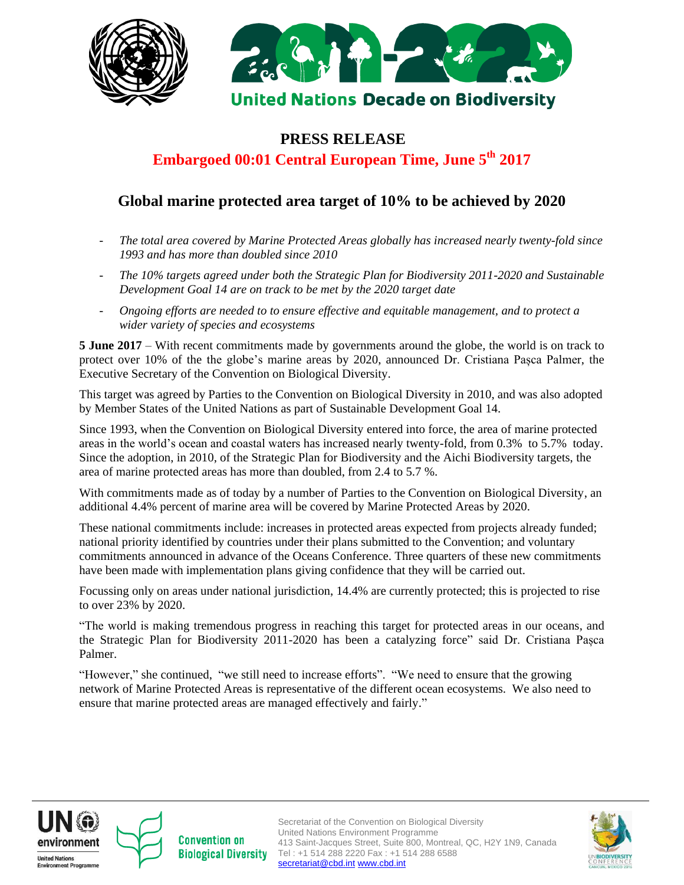



### **PRESS RELEASE**

# **Embargoed 00:01 Central European Time, June 5th 2017**

## **Global marine protected area target of 10% to be achieved by 2020**

- *The total area covered by Marine Protected Areas globally has increased nearly twenty-fold since 1993 and has more than doubled since 2010*
- *The 10% targets agreed under both the Strategic Plan for Biodiversity 2011-2020 and Sustainable Development Goal 14 are on track to be met by the 2020 target date*
- *Ongoing efforts are needed to to ensure effective and equitable management, and to protect a wider variety of species and ecosystems*

**5 June 2017** *–* With recent commitments made by governments around the globe, the world is on track to protect over 10% of the the globe's marine areas by 2020, announced Dr. Cristiana Pașca Palmer, the Executive Secretary of the Convention on Biological Diversity.

This target was agreed by Parties to the Convention on Biological Diversity in 2010, and was also adopted by Member States of the United Nations as part of Sustainable Development Goal 14.

Since 1993, when the Convention on Biological Diversity entered into force, the area of marine protected areas in the world's ocean and coastal waters has increased nearly twenty-fold, from 0.3% to 5.7% today. Since the adoption, in 2010, of the Strategic Plan for Biodiversity and the Aichi Biodiversity targets, the area of marine protected areas has more than doubled, from 2.4 to 5.7 %.

With commitments made as of today by a number of Parties to the Convention on Biological Diversity, an additional 4.4% percent of marine area will be covered by Marine Protected Areas by 2020.

These national commitments include: increases in protected areas expected from projects already funded; national priority identified by countries under their plans submitted to the Convention; and voluntary commitments announced in advance of the Oceans Conference. Three quarters of these new commitments have been made with implementation plans giving confidence that they will be carried out.

Focussing only on areas under national jurisdiction, 14.4% are currently protected; this is projected to rise to over 23% by 2020.

"The world is making tremendous progress in reaching this target for protected areas in our oceans, and the Strategic Plan for Biodiversity 2011-2020 has been a catalyzing force" said Dr. Cristiana Pașca Palmer.

"However," she continued, "we still need to increase efforts". "We need to ensure that the growing network of Marine Protected Areas is representative of the different ocean ecosystems. We also need to ensure that marine protected areas are managed effectively and fairly."